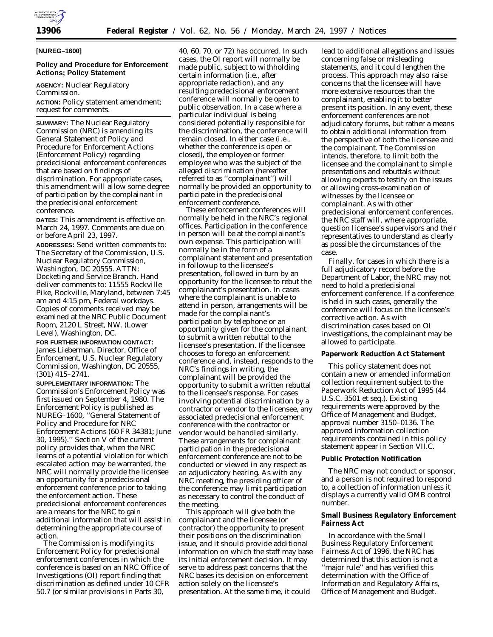

#### **[NUREG–1600]**

## **Policy and Procedure for Enforcement Actions; Policy Statement**

**AGENCY:** Nuclear Regulatory Commission.

**ACTION:** Policy statement amendment; request for comments.

**SUMMARY:** The Nuclear Regulatory Commission (NRC) is amending its General Statement of Policy and Procedure for Enforcement Actions (Enforcement Policy) regarding predecisional enforcement conferences that are based on findings of discrimination. For appropriate cases, this amendment will allow some degree of participation by the complainant in the predecisional enforcement conference.

**DATES:** This amendment is effective on March 24, 1997. Comments are due on or before April 23, 1997.

**ADDRESSES:** Send written comments to: The Secretary of the Commission, U.S. Nuclear Regulatory Commission, Washington, DC 20555. ATTN: Docketing and Service Branch. Hand deliver comments to: 11555 Rockville Pike, Rockville, Maryland, between 7:45 am and 4:15 pm, Federal workdays. Copies of comments received may be examined at the NRC Public Document Room, 2120 L Street, NW. (Lower Level), Washington, DC.

# **FOR FURTHER INFORMATION CONTACT:** James Lieberman, Director, Office of

Enforcement, U.S. Nuclear Regulatory Commission, Washington, DC 20555, (301) 415–2741.

**SUPPLEMENTARY INFORMATION:** The Commission's Enforcement Policy was first issued on September 4, 1980. The Enforcement Policy is published as NUREG–1600, ''General Statement of Policy and Procedure for NRC Enforcement Actions (60 FR 34381; June 30, 1995).'' Section V of the current policy provides that, when the NRC learns of a potential violation for which escalated action may be warranted, the NRC will normally provide the licensee an opportunity for a predecisional enforcement conference prior to taking the enforcement action. These predecisional enforcement conferences are a means for the NRC to gain additional information that will assist in determining the appropriate course of action.

The Commission is modifying its Enforcement Policy for predecisional enforcement conferences in which the conference is based on an NRC Office of Investigations (OI) report finding that discrimination as defined under 10 CFR 50.7 (or similar provisions in Parts 30,

40, 60, 70, or 72) has occurred. In such cases, the OI report will normally be made public, subject to withholding certain information (i.e., after appropriate redaction), and any resulting predecisional enforcement conference will normally be open to public observation. In a case where a particular individual is being considered potentially responsible for the discrimination, the conference will remain closed. In either case (i.e., whether the conference is open or closed), the employee or former employee who was the subject of the alleged discrimination (hereafter referred to as ''complainant'') will normally be provided an opportunity to participate in the predecisional enforcement conference.

These enforcement conferences will normally be held in the NRC's regional offices. Participation in the conference in person will be at the complainant's own expense. This participation will normally be in the form of a complainant statement and presentation in followup to the licensee's presentation, followed in turn by an opportunity for the licensee to rebut the complainant's presentation. In cases where the complainant is unable to attend in person, arrangements will be made for the complainant's participation by telephone or an opportunity given for the complainant to submit a written rebuttal to the licensee's presentation. If the licensee chooses to forego an enforcement conference and, instead, responds to the NRC's findings in writing, the complainant will be provided the opportunity to submit a written rebuttal to the licensee's response. For cases involving potential discrimination by a contractor or vendor to the licensee, any associated predecisional enforcement conference with the contractor or vendor would be handled similarly. These arrangements for complainant participation in the predecisional enforcement conference are not to be conducted or viewed in any respect as an adjudicatory hearing. As with any NRC meeting, the presiding officer of the conference may limit participation as necessary to control the conduct of the meeting.

This approach will give both the complainant and the licensee (or contractor) the opportunity to present their positions on the discrimination issue, and it should provide additional information on which the staff may base its initial enforcement decision. It may serve to address past concerns that the NRC bases its decision on enforcement action solely on the licensee's presentation. At the same time, it could

lead to additional allegations and issues concerning false or misleading statements, and it could lengthen the process. This approach may also raise concerns that the licensee will have more extensive resources than the complainant, enabling it to better present its position. In any event, these enforcement conferences are not adjudicatory forums, but rather a means to obtain additional information from the perspective of both the licensee and the complainant. The Commission intends, therefore, to limit both the licensee and the complainant to simple presentations and rebuttals without allowing experts to testify on the issues or allowing cross-examination of witnesses by the licensee or complainant. As with other predecisional enforcement conferences, the NRC staff will, where appropriate, question licensee's supervisors and their representatives to understand as clearly as possible the circumstances of the case.

Finally, for cases in which there is a full adjudicatory record before the Department of Labor, the NRC may not need to hold a predecisional enforcement conference. If a conference is held in such cases, generally the conference will focus on the licensee's corrective action. As with discrimination cases based on OI investigations, the complainant may be allowed to participate.

#### **Paperwork Reduction Act Statement**

This policy statement does not contain a new or amended information collection requirement subject to the Paperwork Reduction Act of 1995 (44 U.S.C. 3501 *et seq.*). Existing requirements were approved by the Office of Management and Budget, approval number 3150–0136. The approved information collection requirements contained in this policy statement appear in Section VII.C.

#### **Public Protection Notification**

The NRC may not conduct or sponsor, and a person is not required to respond to, a collection of information unless it displays a currently valid OMB control number.

## **Small Business Regulatory Enforcement Fairness Act**

In accordance with the Small Business Regulatory Enforcement Fairness Act of 1996, the NRC has determined that this action is not a ''major rule'' and has verified this determination with the Office of Information and Regulatory Affairs, Office of Management and Budget.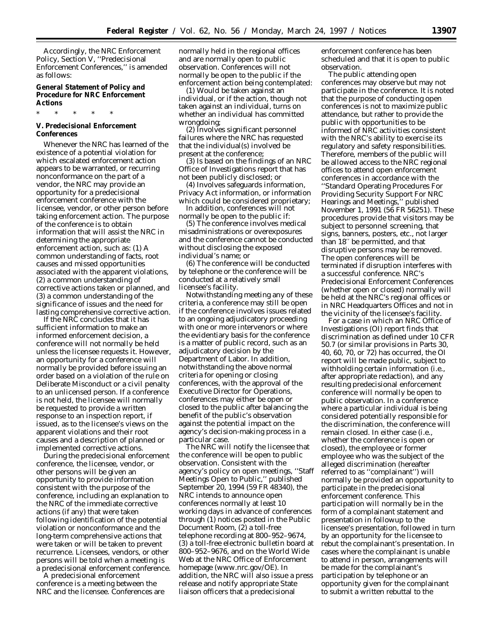Accordingly, the NRC Enforcement Policy, Section V, ''Predecisional Enforcement Conferences,'' is amended as follows:

# **General Statement of Policy and Procedure for NRC Enforcement Actions**

\* \* \* \* \*

## **V. Predecisional Enforcement Conferences**

Whenever the NRC has learned of the existence of a potential violation for which escalated enforcement action appears to be warranted, or recurring nonconformance on the part of a vendor, the NRC may provide an opportunity for a predecisional enforcement conference with the licensee, vendor, or other person before taking enforcement action. The purpose of the conference is to obtain information that will assist the NRC in determining the appropriate enforcement action, such as: (1) A common understanding of facts, root causes and missed opportunities associated with the apparent violations, (2) a common understanding of corrective actions taken or planned, and (3) a common understanding of the significance of issues and the need for lasting comprehensive corrective action.

If the NRC concludes that it has sufficient information to make an informed enforcement decision, a conference will not normally be held unless the licensee requests it. However, an opportunity for a conference will normally be provided before issuing an order based on a violation of the rule on Deliberate Misconduct or a civil penalty to an unlicensed person. If a conference is not held, the licensee will normally be requested to provide a written response to an inspection report, if issued, as to the licensee's views on the apparent violations and their root causes and a description of planned or implemented corrective actions.

During the predecisional enforcement conference, the licensee, vendor, or other persons will be given an opportunity to provide information consistent with the purpose of the conference, including an explanation to the NRC of the immediate corrective actions (if any) that were taken following identification of the potential violation or nonconformance and the long-term comprehensive actions that were taken or will be taken to prevent recurrence. Licensees, vendors, or other persons will be told when a meeting is a predecisional enforcement conference.

A predecisional enforcement conference is a meeting between the NRC and the licensee. Conferences are

normally held in the regional offices and are normally open to public observation. Conferences will not normally be open to the public if the enforcement action being contemplated:

(1) Would be taken against an individual, or if the action, though not taken against an individual, turns on whether an individual has committed wrongdoing;

(2) Involves significant personnel failures where the NRC has requested that the individual(s) involved be present at the conference;

(3) Is based on the findings of an NRC Office of Investigations report that has not been publicly disclosed; or

(4) Involves safeguards information, Privacy Act information, or information which could be considered proprietary;

In addition, conferences will not normally be open to the public if:

(5) The conference involves medical misadministrations or overexposures and the conference cannot be conducted without disclosing the exposed individual's name; or

(6) The conference will be conducted by telephone or the conference will be conducted at a relatively small licensee's facility.

Notwithstanding meeting any of these criteria, a conference may still be open if the conference involves issues related to an ongoing adjudicatory proceeding with one or more intervenors or where the evidentiary basis for the conference is a matter of public record, such as an adjudicatory decision by the Department of Labor. In addition, notwithstanding the above normal criteria for opening or closing conferences, with the approval of the Executive Director for Operations, conferences may either be open or closed to the public after balancing the benefit of the public's observation against the potential impact on the agency's decision-making process in a particular case.

The NRC will notify the licensee that the conference will be open to public observation. Consistent with the agency's policy on open meetings, ''Staff Meetings Open to Public,'' published September 20, 1994 (59 FR 48340), the NRC intends to announce open conferences normally at least 10 working days in advance of conferences through (1) notices posted in the Public Document Room, (2) a toll-free telephone recording at 800–952–9674, (3) a toll-free electronic bulletin board at 800–952–9676, and on the World Wide Web at the NRC Office of Enforcement homepage (www.nrc.gov/OE). In addition, the NRC will also issue a press release and notify appropriate State liaison officers that a predecisional

enforcement conference has been scheduled and that it is open to public observation.

The public attending open conferences may observe but may not participate in the conference. It is noted that the purpose of conducting open conferences is not to maximize public attendance, but rather to provide the public with opportunities to be informed of NRC activities consistent with the NRC's ability to exercise its regulatory and safety responsibilities. Therefore, members of the public will be allowed access to the NRC regional offices to attend open enforcement conferences in accordance with the ''Standard Operating Procedures For Providing Security Support For NRC Hearings and Meetings,'' published November 1, 1991 (56 FR 56251). These procedures provide that visitors may be subject to personnel screening, that signs, banners, posters, etc., not larger than 18′′ be permitted, and that disruptive persons may be removed. The open conferences will be terminated if disruption interferes with a successful conference. NRC's Predecisional Enforcement Conferences (whether open or closed) normally will be held at the NRC's regional offices or in NRC Headquarters Offices and not in the vicinity of the licensee's facility.

For a case in which an NRC Office of Investigations (OI) report finds that discrimination as defined under 10 CFR 50.7 (or similar provisions in Parts 30, 40, 60, 70, or 72) has occurred, the OI report will be made public, subject to withholding certain information (i.e., after appropriate redaction), and any resulting predecisional enforcement conference will normally be open to public observation. In a conference where a particular individual is being considered potentially responsible for the discrimination, the conference will remain closed. In either case (i.e., whether the conference is open or closed), the employee or former employee who was the subject of the alleged discrimination (hereafter referred to as ''complainant'') will normally be provided an opportunity to participate in the predecisional enforcement conference. This participation will normally be in the form of a complainant statement and presentation in followup to the licensee's presentation, followed in turn by an opportunity for the licensee to rebut the complainant's presentation. In cases where the complainant is unable to attend in person, arrangements will be made for the complainant's participation by telephone or an opportunity given for the complainant to submit a written rebuttal to the